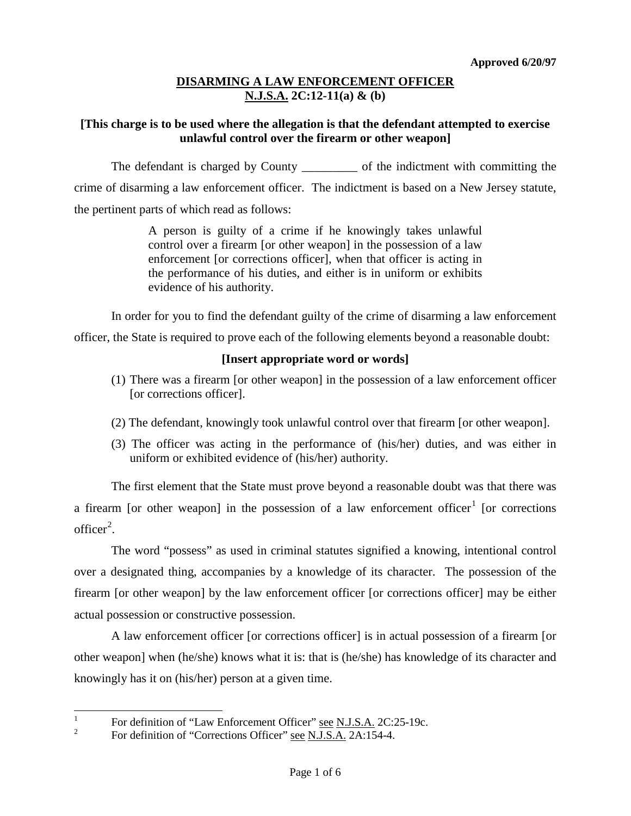#### **[This charge is to be used where the allegation is that the defendant attempted to exercise unlawful control over the firearm or other weapon]**

The defendant is charged by County \_\_\_\_\_\_\_\_\_\_ of the indictment with committing the crime of disarming a law enforcement officer. The indictment is based on a New Jersey statute, the pertinent parts of which read as follows:

> A person is guilty of a crime if he knowingly takes unlawful control over a firearm [or other weapon] in the possession of a law enforcement [or corrections officer], when that officer is acting in the performance of his duties, and either is in uniform or exhibits evidence of his authority.

In order for you to find the defendant guilty of the crime of disarming a law enforcement

officer, the State is required to prove each of the following elements beyond a reasonable doubt:

# **[Insert appropriate word or words]**

- (1) There was a firearm [or other weapon] in the possession of a law enforcement officer [or corrections officer].
- (2) The defendant, knowingly took unlawful control over that firearm [or other weapon].
- (3) The officer was acting in the performance of (his/her) duties, and was either in uniform or exhibited evidence of (his/her) authority.

The first element that the State must prove beyond a reasonable doubt was that there was a firearm [or other weapon] in the possession of a law enforcement officer<sup>[1](#page-3-0)</sup> [or corrections  $\text{offer}^2$  $\text{offer}^2$ .

The word "possess" as used in criminal statutes signified a knowing, intentional control over a designated thing, accompanies by a knowledge of its character. The possession of the firearm [or other weapon] by the law enforcement officer [or corrections officer] may be either actual possession or constructive possession.

A law enforcement officer [or corrections officer] is in actual possession of a firearm [or other weapon] when (he/she) knows what it is: that is (he/she) has knowledge of its character and knowingly has it on (his/her) person at a given time.

<span id="page-0-1"></span><sup>&</sup>lt;sup>1</sup> For definition of "Law Enforcement Officer" <u>see N.J.S.A.</u> 2C:25-19c.<br><sup>2</sup> For definition of "Corrections Officer" see N.J.S.A. 2A:154-4.

<span id="page-0-0"></span>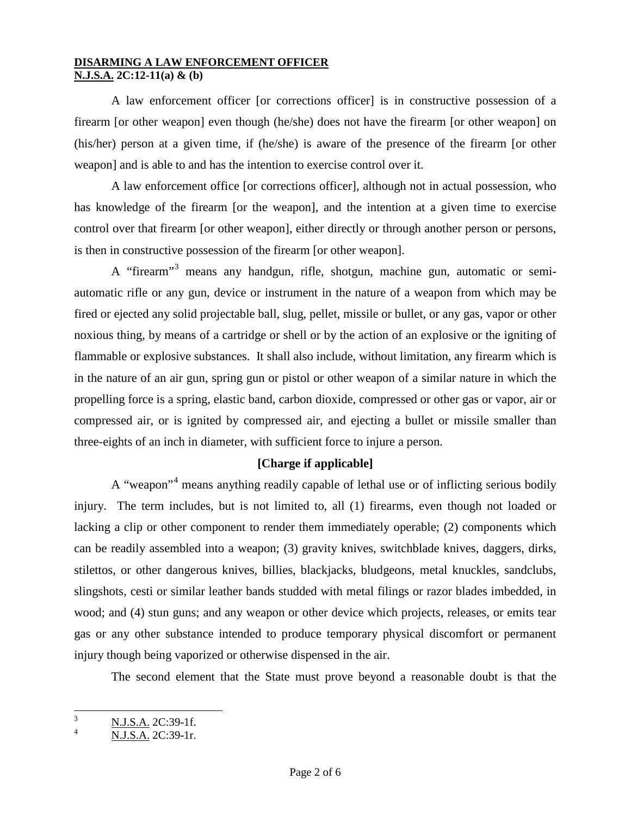A law enforcement officer [or corrections officer] is in constructive possession of a firearm [or other weapon] even though (he/she) does not have the firearm [or other weapon] on (his/her) person at a given time, if (he/she) is aware of the presence of the firearm [or other weapon] and is able to and has the intention to exercise control over it.

A law enforcement office [or corrections officer], although not in actual possession, who has knowledge of the firearm [or the weapon], and the intention at a given time to exercise control over that firearm [or other weapon], either directly or through another person or persons, is then in constructive possession of the firearm [or other weapon].

A "firearm"[3](#page-0-1) means any handgun, rifle, shotgun, machine gun, automatic or semiautomatic rifle or any gun, device or instrument in the nature of a weapon from which may be fired or ejected any solid projectable ball, slug, pellet, missile or bullet, or any gas, vapor or other noxious thing, by means of a cartridge or shell or by the action of an explosive or the igniting of flammable or explosive substances. It shall also include, without limitation, any firearm which is in the nature of an air gun, spring gun or pistol or other weapon of a similar nature in which the propelling force is a spring, elastic band, carbon dioxide, compressed or other gas or vapor, air or compressed air, or is ignited by compressed air, and ejecting a bullet or missile smaller than three-eights of an inch in diameter, with sufficient force to injure a person.

# **[Charge if applicable]**

A "weapon"[4](#page-1-0) means anything readily capable of lethal use or of inflicting serious bodily injury. The term includes, but is not limited to, all (1) firearms, even though not loaded or lacking a clip or other component to render them immediately operable; (2) components which can be readily assembled into a weapon; (3) gravity knives, switchblade knives, daggers, dirks, stilettos, or other dangerous knives, billies, blackjacks, bludgeons, metal knuckles, sandclubs, slingshots, cesti or similar leather bands studded with metal filings or razor blades imbedded, in wood; and (4) stun guns; and any weapon or other device which projects, releases, or emits tear gas or any other substance intended to produce temporary physical discomfort or permanent injury though being vaporized or otherwise dispensed in the air.

The second element that the State must prove beyond a reasonable doubt is that the

<span id="page-1-1"></span> $\frac{3}{4}$  N.J.S.A. 2C:39-1f.

<span id="page-1-0"></span><sup>4</sup> N.J.S.A. 2C:39-1r.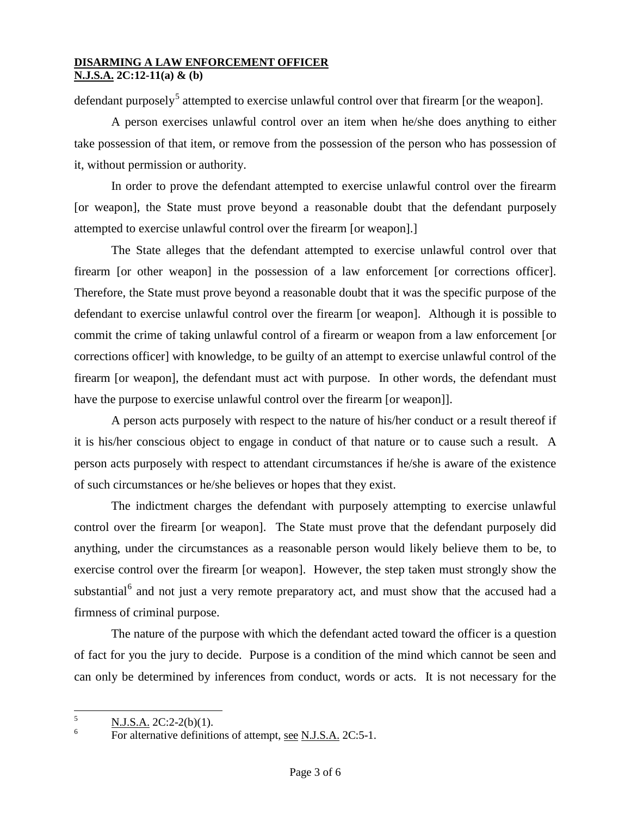defendant purposely<sup>[5](#page-1-1)</sup> attempted to exercise unlawful control over that firearm [or the weapon].

A person exercises unlawful control over an item when he/she does anything to either take possession of that item, or remove from the possession of the person who has possession of it, without permission or authority.

In order to prove the defendant attempted to exercise unlawful control over the firearm [or weapon], the State must prove beyond a reasonable doubt that the defendant purposely attempted to exercise unlawful control over the firearm [or weapon].]

The State alleges that the defendant attempted to exercise unlawful control over that firearm [or other weapon] in the possession of a law enforcement [or corrections officer]. Therefore, the State must prove beyond a reasonable doubt that it was the specific purpose of the defendant to exercise unlawful control over the firearm [or weapon]. Although it is possible to commit the crime of taking unlawful control of a firearm or weapon from a law enforcement [or corrections officer] with knowledge, to be guilty of an attempt to exercise unlawful control of the firearm [or weapon], the defendant must act with purpose. In other words, the defendant must have the purpose to exercise unlawful control over the firearm [or weapon]].

A person acts purposely with respect to the nature of his/her conduct or a result thereof if it is his/her conscious object to engage in conduct of that nature or to cause such a result. A person acts purposely with respect to attendant circumstances if he/she is aware of the existence of such circumstances or he/she believes or hopes that they exist.

The indictment charges the defendant with purposely attempting to exercise unlawful control over the firearm [or weapon]. The State must prove that the defendant purposely did anything, under the circumstances as a reasonable person would likely believe them to be, to exercise control over the firearm [or weapon]. However, the step taken must strongly show the substantial<sup>[6](#page-2-0)</sup> and not just a very remote preparatory act, and must show that the accused had a firmness of criminal purpose.

The nature of the purpose with which the defendant acted toward the officer is a question of fact for you the jury to decide. Purpose is a condition of the mind which cannot be seen and can only be determined by inferences from conduct, words or acts. It is not necessary for the

<span id="page-2-1"></span> $\frac{5}{6}$  N.J.S.A. 2C:2-2(b)(1).

<span id="page-2-0"></span>For alternative definitions of attempt, see N.J.S.A. 2C:5-1.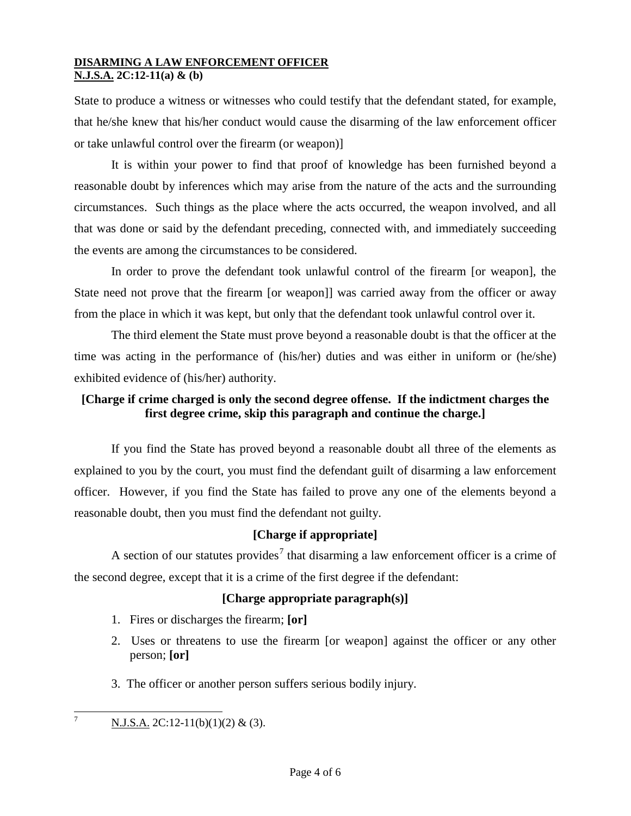State to produce a witness or witnesses who could testify that the defendant stated, for example, that he/she knew that his/her conduct would cause the disarming of the law enforcement officer or take unlawful control over the firearm (or weapon)]

It is within your power to find that proof of knowledge has been furnished beyond a reasonable doubt by inferences which may arise from the nature of the acts and the surrounding circumstances. Such things as the place where the acts occurred, the weapon involved, and all that was done or said by the defendant preceding, connected with, and immediately succeeding the events are among the circumstances to be considered.

In order to prove the defendant took unlawful control of the firearm [or weapon], the State need not prove that the firearm [or weapon]] was carried away from the officer or away from the place in which it was kept, but only that the defendant took unlawful control over it.

The third element the State must prove beyond a reasonable doubt is that the officer at the time was acting in the performance of (his/her) duties and was either in uniform or (he/she) exhibited evidence of (his/her) authority.

# **[Charge if crime charged is only the second degree offense. If the indictment charges the first degree crime, skip this paragraph and continue the charge.]**

If you find the State has proved beyond a reasonable doubt all three of the elements as explained to you by the court, you must find the defendant guilt of disarming a law enforcement officer. However, if you find the State has failed to prove any one of the elements beyond a reasonable doubt, then you must find the defendant not guilty.

# **[Charge if appropriate]**

A section of our statutes provides<sup>[7](#page-2-1)</sup> that disarming a law enforcement officer is a crime of the second degree, except that it is a crime of the first degree if the defendant:

# **[Charge appropriate paragraph(s)]**

- 1. Fires or discharges the firearm; **[or]**
- 2. Uses or threatens to use the firearm [or weapon] against the officer or any other person; **[or]**
- 3. The officer or another person suffers serious bodily injury.

<span id="page-3-0"></span><sup>&</sup>lt;sup>7</sup> N.J.S.A. 2C:12-11(b)(1)(2) & (3).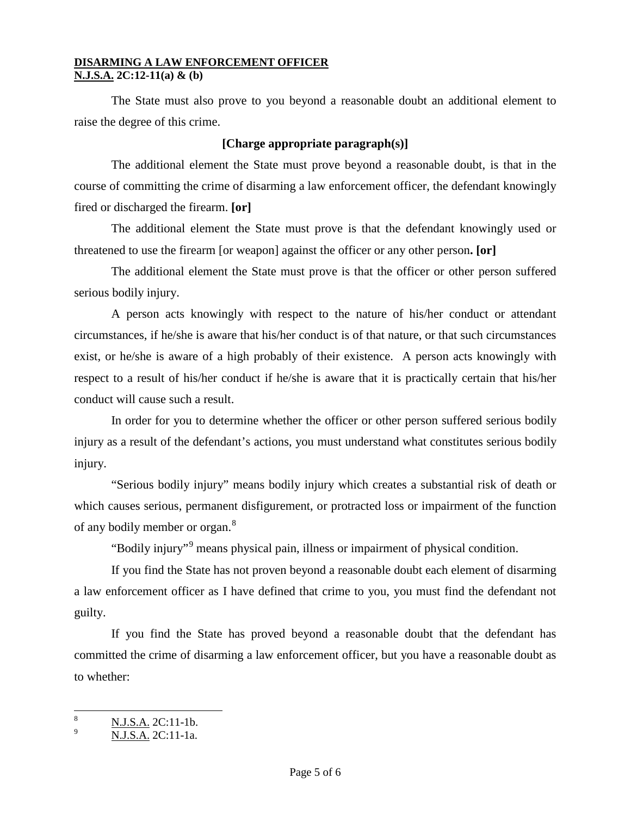The State must also prove to you beyond a reasonable doubt an additional element to raise the degree of this crime.

#### **[Charge appropriate paragraph(s)]**

The additional element the State must prove beyond a reasonable doubt, is that in the course of committing the crime of disarming a law enforcement officer, the defendant knowingly fired or discharged the firearm. **[or]**

The additional element the State must prove is that the defendant knowingly used or threatened to use the firearm [or weapon] against the officer or any other person**. [or]**

The additional element the State must prove is that the officer or other person suffered serious bodily injury.

A person acts knowingly with respect to the nature of his/her conduct or attendant circumstances, if he/she is aware that his/her conduct is of that nature, or that such circumstances exist, or he/she is aware of a high probably of their existence. A person acts knowingly with respect to a result of his/her conduct if he/she is aware that it is practically certain that his/her conduct will cause such a result.

In order for you to determine whether the officer or other person suffered serious bodily injury as a result of the defendant's actions, you must understand what constitutes serious bodily injury.

"Serious bodily injury" means bodily injury which creates a substantial risk of death or which causes serious, permanent disfigurement, or protracted loss or impairment of the function of any bodily member or organ.<sup>[8](#page-3-0)</sup>

"Bodily injury"[9](#page-4-0) means physical pain, illness or impairment of physical condition.

If you find the State has not proven beyond a reasonable doubt each element of disarming a law enforcement officer as I have defined that crime to you, you must find the defendant not guilty.

If you find the State has proved beyond a reasonable doubt that the defendant has committed the crime of disarming a law enforcement officer, but you have a reasonable doubt as to whether:

<span id="page-4-0"></span> $\frac{8}{9}$  N.J.S.A. 2C:11-1b.

<sup>9</sup> N.J.S.A. 2C:11-1a.